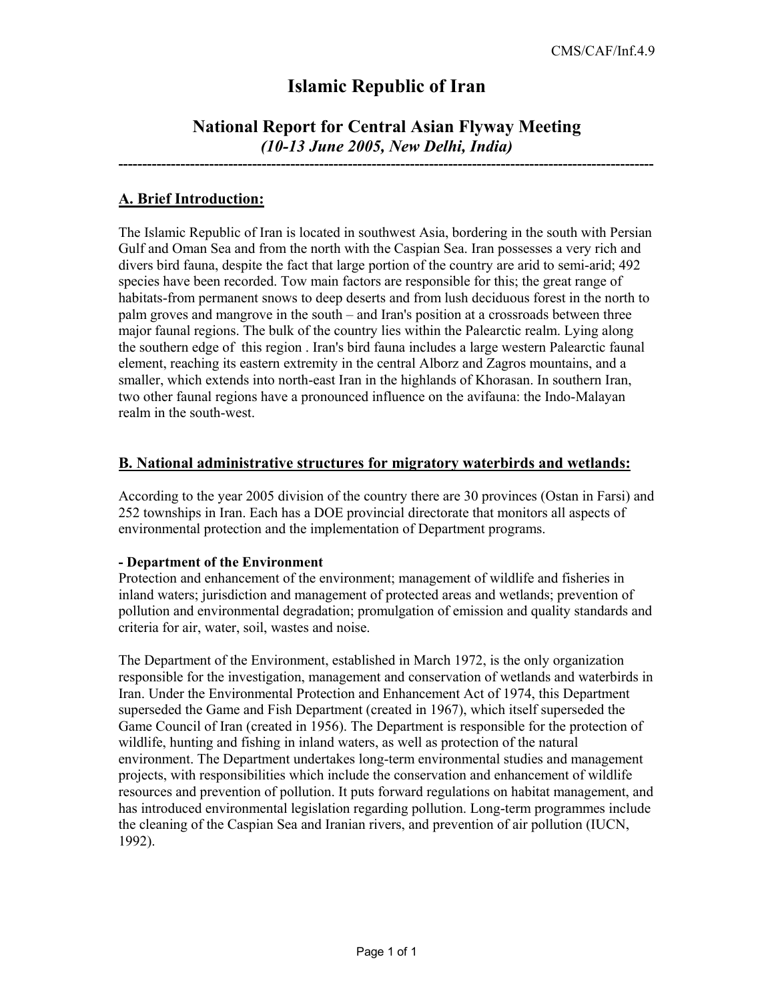# **Islamic Republic of Iran**

# **National Report for Central Asian Flyway Meeting**  *(10-13 June 2005, New Delhi, India)*

**----------------------------------------------------------------------------------------------------------------** 

## **A. Brief Introduction:**

The Islamic Republic of Iran is located in southwest Asia, bordering in the south with Persian Gulf and Oman Sea and from the north with the Caspian Sea. Iran possesses a very rich and divers bird fauna, despite the fact that large portion of the country are arid to semi-arid; 492 species have been recorded. Tow main factors are responsible for this; the great range of habitats-from permanent snows to deep deserts and from lush deciduous forest in the north to palm groves and mangrove in the south – and Iran's position at a crossroads between three major faunal regions. The bulk of the country lies within the Palearctic realm. Lying along the southern edge of this region . Iran's bird fauna includes a large western Palearctic faunal element, reaching its eastern extremity in the central Alborz and Zagros mountains, and a smaller, which extends into north-east Iran in the highlands of Khorasan. In southern Iran, two other faunal regions have a pronounced influence on the avifauna: the Indo-Malayan realm in the south-west.

### **B. National administrative structures for migratory waterbirds and wetlands:**

According to the year 2005 division of the country there are 30 provinces (Ostan in Farsi) and 252 townships in Iran. Each has a DOE provincial directorate that monitors all aspects of environmental protection and the implementation of Department programs.

### **- Department of the Environment**

Protection and enhancement of the environment; management of wildlife and fisheries in inland waters; jurisdiction and management of protected areas and wetlands; prevention of pollution and environmental degradation; promulgation of emission and quality standards and criteria for air, water, soil, wastes and noise.

The Department of the Environment, established in March 1972, is the only organization responsible for the investigation, management and conservation of wetlands and waterbirds in Iran. Under the Environmental Protection and Enhancement Act of 1974, this Department superseded the Game and Fish Department (created in 1967), which itself superseded the Game Council of Iran (created in 1956). The Department is responsible for the protection of wildlife, hunting and fishing in inland waters, as well as protection of the natural environment. The Department undertakes long-term environmental studies and management projects, with responsibilities which include the conservation and enhancement of wildlife resources and prevention of pollution. It puts forward regulations on habitat management, and has introduced environmental legislation regarding pollution. Long-term programmes include the cleaning of the Caspian Sea and Iranian rivers, and prevention of air pollution (IUCN, 1992).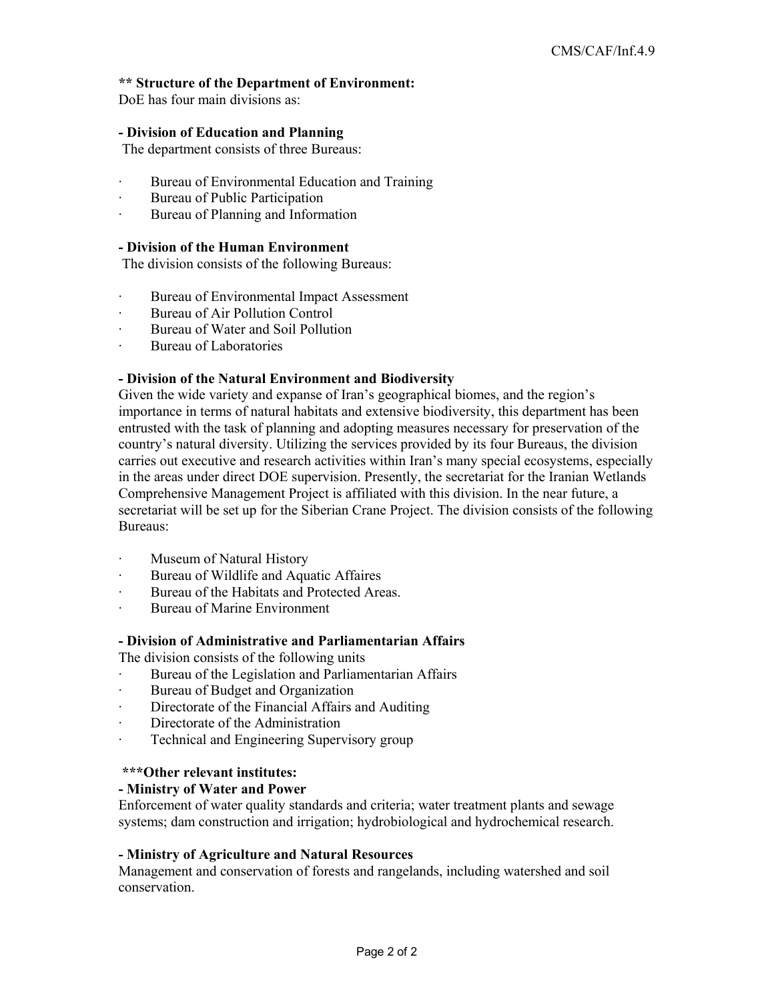#### **\*\* Structure of the Department of Environment:**

DoE has four main divisions as:

#### **- Division of Education and Planning**

The department consists of three Bureaus:

- Bureau of Environmental Education and Training
- Bureau of Public Participation
- · Bureau of Planning and Information

#### **- Division of the Human Environment**

The division consists of the following Bureaus:

- · Bureau of Environmental Impact Assessment
- · Bureau of Air Pollution Control
- Bureau of Water and Soil Pollution
- Bureau of Laboratories

#### **- Division of the Natural Environment and Biodiversity**

Given the wide variety and expanse of Iran's geographical biomes, and the region's importance in terms of natural habitats and extensive biodiversity, this department has been entrusted with the task of planning and adopting measures necessary for preservation of the country's natural diversity. Utilizing the services provided by its four Bureaus, the division carries out executive and research activities within Iran's many special ecosystems, especially in the areas under direct DOE supervision. Presently, the secretariat for the Iranian Wetlands Comprehensive Management Project is affiliated with this division. In the near future, a secretariat will be set up for the Siberian Crane Project. The division consists of the following Bureaus:

- Museum of Natural History
- Bureau of Wildlife and Aquatic Affaires
- · Bureau of the Habitats and Protected Areas.
- Bureau of Marine Environment

### **- Division of Administrative and Parliamentarian Affairs**

The division consists of the following units

- Bureau of the Legislation and Parliamentarian Affairs
- · Bureau of Budget and Organization
- · Directorate of the Financial Affairs and Auditing
- Directorate of the Administration
- · Technical and Engineering Supervisory group

#### **\*\*\*Other relevant institutes:**

#### **- Ministry of Water and Power**

Enforcement of water quality standards and criteria; water treatment plants and sewage systems; dam construction and irrigation; hydrobiological and hydrochemical research.

#### **- Ministry of Agriculture and Natural Resources**

Management and conservation of forests and rangelands, including watershed and soil conservation.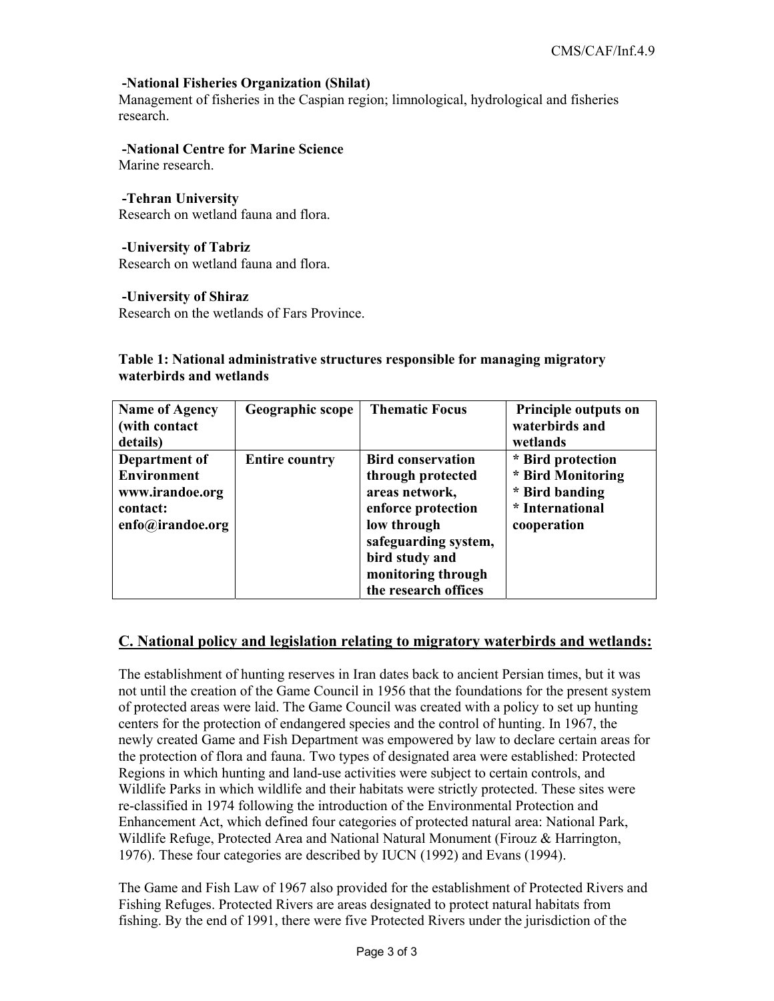### **-National Fisheries Organization (Shilat)**

Management of fisheries in the Caspian region; limnological, hydrological and fisheries research.

#### **-National Centre for Marine Science**  Marine research.

 **-Tehran University**  Research on wetland fauna and flora.

#### **-University of Tabriz**

Research on wetland fauna and flora.

#### **-University of Shiraz**

Research on the wetlands of Fars Province.

### **Table 1: National administrative structures responsible for managing migratory waterbirds and wetlands**

| <b>Name of Agency</b><br>(with contact)<br>details)                                    | Geographic scope      | <b>Thematic Focus</b>                                                                                                                                                                        | Principle outputs on<br>waterbirds and<br>wetlands                                         |
|----------------------------------------------------------------------------------------|-----------------------|----------------------------------------------------------------------------------------------------------------------------------------------------------------------------------------------|--------------------------------------------------------------------------------------------|
| Department of<br><b>Environment</b><br>www.irandoe.org<br>contact:<br>enfo@irandoe.org | <b>Entire country</b> | <b>Bird conservation</b><br>through protected<br>areas network,<br>enforce protection<br>low through<br>safeguarding system,<br>bird study and<br>monitoring through<br>the research offices | * Bird protection<br>* Bird Monitoring<br>* Bird banding<br>* International<br>cooperation |

### **C. National policy and legislation relating to migratory waterbirds and wetlands:**

The establishment of hunting reserves in Iran dates back to ancient Persian times, but it was not until the creation of the Game Council in 1956 that the foundations for the present system of protected areas were laid. The Game Council was created with a policy to set up hunting centers for the protection of endangered species and the control of hunting. In 1967, the newly created Game and Fish Department was empowered by law to declare certain areas for the protection of flora and fauna. Two types of designated area were established: Protected Regions in which hunting and land-use activities were subject to certain controls, and Wildlife Parks in which wildlife and their habitats were strictly protected. These sites were re-classified in 1974 following the introduction of the Environmental Protection and Enhancement Act, which defined four categories of protected natural area: National Park, Wildlife Refuge, Protected Area and National Natural Monument (Firouz & Harrington, 1976). These four categories are described by IUCN (1992) and Evans (1994).

The Game and Fish Law of 1967 also provided for the establishment of Protected Rivers and Fishing Refuges. Protected Rivers are areas designated to protect natural habitats from fishing. By the end of 1991, there were five Protected Rivers under the jurisdiction of the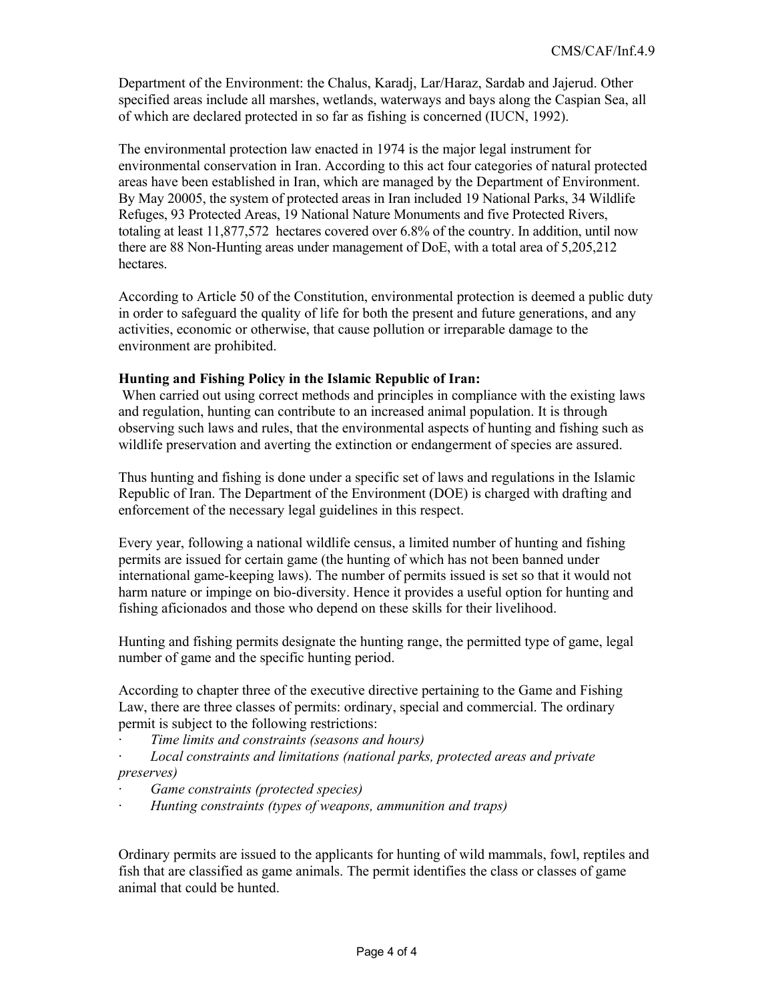Department of the Environment: the Chalus, Karadj, Lar/Haraz, Sardab and Jajerud. Other specified areas include all marshes, wetlands, waterways and bays along the Caspian Sea, all of which are declared protected in so far as fishing is concerned (IUCN, 1992).

The environmental protection law enacted in 1974 is the major legal instrument for environmental conservation in Iran. According to this act four categories of natural protected areas have been established in Iran, which are managed by the Department of Environment. By May 20005, the system of protected areas in Iran included 19 National Parks, 34 Wildlife Refuges, 93 Protected Areas, 19 National Nature Monuments and five Protected Rivers, totaling at least 11,877,572 hectares covered over 6.8% of the country. In addition, until now there are 88 Non-Hunting areas under management of DoE, with a total area of 5,205,212 hectares.

According to Article 50 of the Constitution, environmental protection is deemed a public duty in order to safeguard the quality of life for both the present and future generations, and any activities, economic or otherwise, that cause pollution or irreparable damage to the environment are prohibited.

### **Hunting and Fishing Policy in the Islamic Republic of Iran:**

 When carried out using correct methods and principles in compliance with the existing laws and regulation, hunting can contribute to an increased animal population. It is through observing such laws and rules, that the environmental aspects of hunting and fishing such as wildlife preservation and averting the extinction or endangerment of species are assured.

Thus hunting and fishing is done under a specific set of laws and regulations in the Islamic Republic of Iran. The Department of the Environment (DOE) is charged with drafting and enforcement of the necessary legal guidelines in this respect.

Every year, following a national wildlife census, a limited number of hunting and fishing permits are issued for certain game (the hunting of which has not been banned under international game-keeping laws). The number of permits issued is set so that it would not harm nature or impinge on bio-diversity. Hence it provides a useful option for hunting and fishing aficionados and those who depend on these skills for their livelihood.

Hunting and fishing permits designate the hunting range, the permitted type of game, legal number of game and the specific hunting period.

According to chapter three of the executive directive pertaining to the Game and Fishing Law, there are three classes of permits: ordinary, special and commercial. The ordinary permit is subject to the following restrictions:

- · *Time limits and constraints (seasons and hours)*
- · *Local constraints and limitations (national parks, protected areas and private preserves)*
- · *Game constraints (protected species)*
- · *Hunting constraints (types of weapons, ammunition and traps)*

Ordinary permits are issued to the applicants for hunting of wild mammals, fowl, reptiles and fish that are classified as game animals. The permit identifies the class or classes of game animal that could be hunted.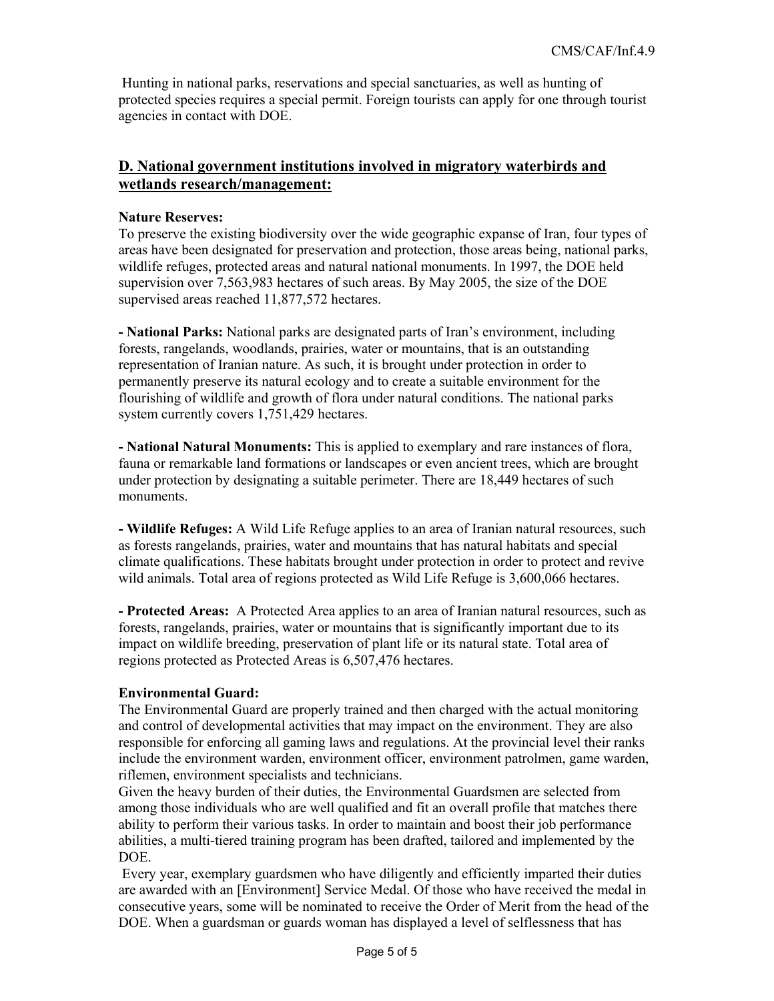Hunting in national parks, reservations and special sanctuaries, as well as hunting of protected species requires a special permit. Foreign tourists can apply for one through tourist agencies in contact with DOE.

### **D. National government institutions involved in migratory waterbirds and wetlands research/management:**

#### **Nature Reserves:**

To preserve the existing biodiversity over the wide geographic expanse of Iran, four types of areas have been designated for preservation and protection, those areas being, national parks, wildlife refuges, protected areas and natural national monuments. In 1997, the DOE held supervision over 7,563,983 hectares of such areas. By May 2005, the size of the DOE supervised areas reached 11,877,572 hectares.

**- National Parks:** National parks are designated parts of Iran's environment, including forests, rangelands, woodlands, prairies, water or mountains, that is an outstanding representation of Iranian nature. As such, it is brought under protection in order to permanently preserve its natural ecology and to create a suitable environment for the flourishing of wildlife and growth of flora under natural conditions. The national parks system currently covers 1,751,429 hectares.

**- National Natural Monuments:** This is applied to exemplary and rare instances of flora, fauna or remarkable land formations or landscapes or even ancient trees, which are brought under protection by designating a suitable perimeter. There are 18,449 hectares of such monuments.

**- Wildlife Refuges:** A Wild Life Refuge applies to an area of Iranian natural resources, such as forests rangelands, prairies, water and mountains that has natural habitats and special climate qualifications. These habitats brought under protection in order to protect and revive wild animals. Total area of regions protected as Wild Life Refuge is 3,600,066 hectares.

**- Protected Areas:** A Protected Area applies to an area of Iranian natural resources, such as forests, rangelands, prairies, water or mountains that is significantly important due to its impact on wildlife breeding, preservation of plant life or its natural state. Total area of regions protected as Protected Areas is 6,507,476 hectares.

#### **Environmental Guard:**

The Environmental Guard are properly trained and then charged with the actual monitoring and control of developmental activities that may impact on the environment. They are also responsible for enforcing all gaming laws and regulations. At the provincial level their ranks include the environment warden, environment officer, environment patrolmen, game warden, riflemen, environment specialists and technicians.

Given the heavy burden of their duties, the Environmental Guardsmen are selected from among those individuals who are well qualified and fit an overall profile that matches there ability to perform their various tasks. In order to maintain and boost their job performance abilities, a multi-tiered training program has been drafted, tailored and implemented by the DOE.

 Every year, exemplary guardsmen who have diligently and efficiently imparted their duties are awarded with an [Environment] Service Medal. Of those who have received the medal in consecutive years, some will be nominated to receive the Order of Merit from the head of the DOE. When a guardsman or guards woman has displayed a level of selflessness that has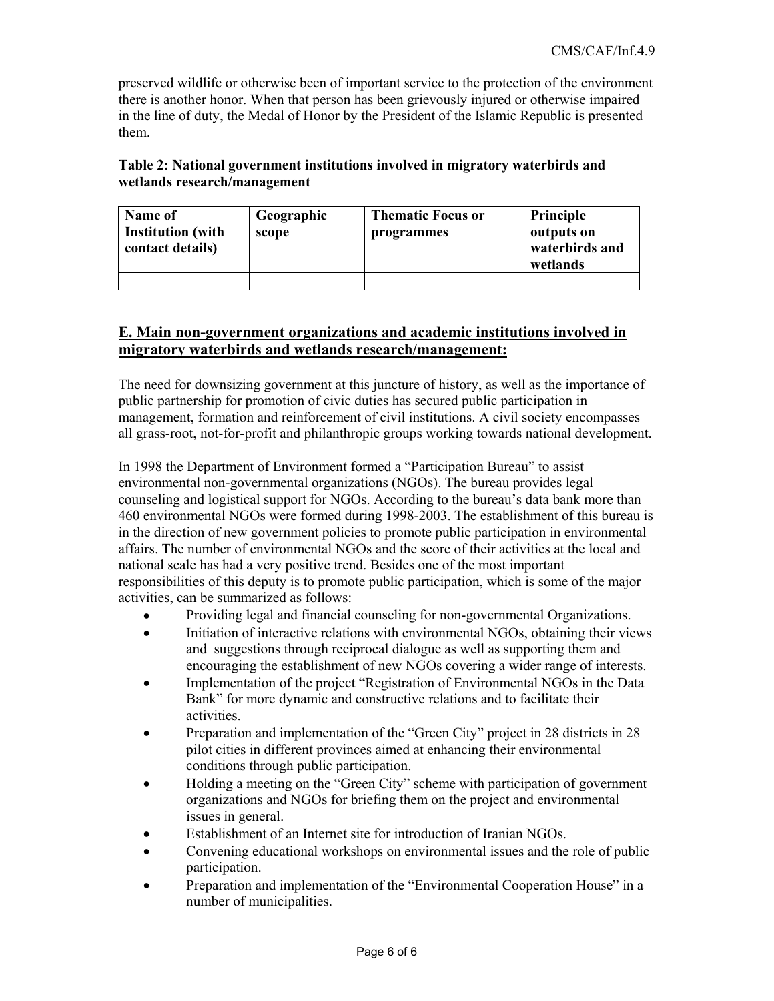preserved wildlife or otherwise been of important service to the protection of the environment there is another honor. When that person has been grievously injured or otherwise impaired in the line of duty, the Medal of Honor by the President of the Islamic Republic is presented them.

### **Table 2: National government institutions involved in migratory waterbirds and wetlands research/management**

| Name of<br><b>Institution</b> (with<br>contact details) | Geographic<br>scope | <b>Thematic Focus or</b><br>programmes | Principle<br>outputs on<br>waterbirds and<br>wetlands |
|---------------------------------------------------------|---------------------|----------------------------------------|-------------------------------------------------------|
|                                                         |                     |                                        |                                                       |

### **E. Main non-government organizations and academic institutions involved in migratory waterbirds and wetlands research/management:**

The need for downsizing government at this juncture of history, as well as the importance of public partnership for promotion of civic duties has secured public participation in management, formation and reinforcement of civil institutions. A civil society encompasses all grass-root, not-for-profit and philanthropic groups working towards national development.

In 1998 the Department of Environment formed a "Participation Bureau" to assist environmental non-governmental organizations (NGOs). The bureau provides legal counseling and logistical support for NGOs. According to the bureau's data bank more than 460 environmental NGOs were formed during 1998-2003. The establishment of this bureau is in the direction of new government policies to promote public participation in environmental affairs. The number of environmental NGOs and the score of their activities at the local and national scale has had a very positive trend. Besides one of the most important responsibilities of this deputy is to promote public participation, which is some of the major activities, can be summarized as follows:

- Providing legal and financial counseling for non-governmental Organizations.
- Initiation of interactive relations with environmental NGOs, obtaining their views and suggestions through reciprocal dialogue as well as supporting them and encouraging the establishment of new NGOs covering a wider range of interests.
- Implementation of the project "Registration of Environmental NGOs in the Data Bank" for more dynamic and constructive relations and to facilitate their activities.
- Preparation and implementation of the "Green City" project in 28 districts in 28 pilot cities in different provinces aimed at enhancing their environmental conditions through public participation.
- Holding a meeting on the "Green City" scheme with participation of government organizations and NGOs for briefing them on the project and environmental issues in general.
- Establishment of an Internet site for introduction of Iranian NGOs.
- Convening educational workshops on environmental issues and the role of public participation.
- Preparation and implementation of the "Environmental Cooperation House" in a number of municipalities.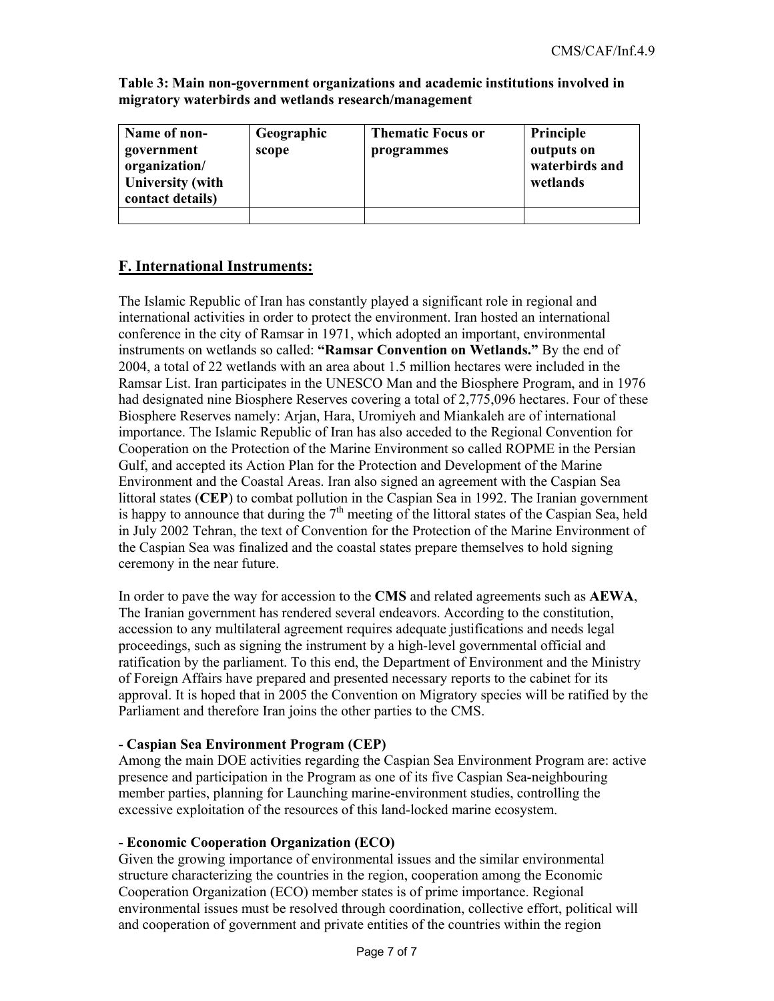**Table 3: Main non-government organizations and academic institutions involved in migratory waterbirds and wetlands research/management** 

| Name of non-<br>government<br>organization/<br><b>University</b> (with<br>contact details) | Geographic<br>scope | <b>Thematic Focus or</b><br>programmes | Principle<br>outputs on<br>waterbirds and<br>wetlands |
|--------------------------------------------------------------------------------------------|---------------------|----------------------------------------|-------------------------------------------------------|
|                                                                                            |                     |                                        |                                                       |

### **F. International Instruments:**

The Islamic Republic of Iran has constantly played a significant role in regional and international activities in order to protect the environment. Iran hosted an international conference in the city of Ramsar in 1971, which adopted an important, environmental instruments on wetlands so called: **"Ramsar Convention on Wetlands."** By the end of 2004, a total of 22 wetlands with an area about 1.5 million hectares were included in the Ramsar List. Iran participates in the UNESCO Man and the Biosphere Program, and in 1976 had designated nine Biosphere Reserves covering a total of 2,775,096 hectares. Four of these Biosphere Reserves namely: Arjan, Hara, Uromiyeh and Miankaleh are of international importance. The Islamic Republic of Iran has also acceded to the Regional Convention for Cooperation on the Protection of the Marine Environment so called ROPME in the Persian Gulf, and accepted its Action Plan for the Protection and Development of the Marine Environment and the Coastal Areas. Iran also signed an agreement with the Caspian Sea littoral states (**CEP**) to combat pollution in the Caspian Sea in 1992. The Iranian government is happy to announce that during the  $7<sup>th</sup>$  meeting of the littoral states of the Caspian Sea, held in July 2002 Tehran, the text of Convention for the Protection of the Marine Environment of the Caspian Sea was finalized and the coastal states prepare themselves to hold signing ceremony in the near future.

In order to pave the way for accession to the **CMS** and related agreements such as **AEWA**, The Iranian government has rendered several endeavors. According to the constitution, accession to any multilateral agreement requires adequate justifications and needs legal proceedings, such as signing the instrument by a high-level governmental official and ratification by the parliament. To this end, the Department of Environment and the Ministry of Foreign Affairs have prepared and presented necessary reports to the cabinet for its approval. It is hoped that in 2005 the Convention on Migratory species will be ratified by the Parliament and therefore Iran joins the other parties to the CMS.

### **- Caspian Sea Environment Program (CEP)**

Among the main DOE activities regarding the Caspian Sea Environment Program are: active presence and participation in the Program as one of its five Caspian Sea-neighbouring member parties, planning for Launching marine-environment studies, controlling the excessive exploitation of the resources of this land-locked marine ecosystem.

### **- Economic Cooperation Organization (ECO)**

Given the growing importance of environmental issues and the similar environmental structure characterizing the countries in the region, cooperation among the Economic Cooperation Organization (ECO) member states is of prime importance. Regional environmental issues must be resolved through coordination, collective effort, political will and cooperation of government and private entities of the countries within the region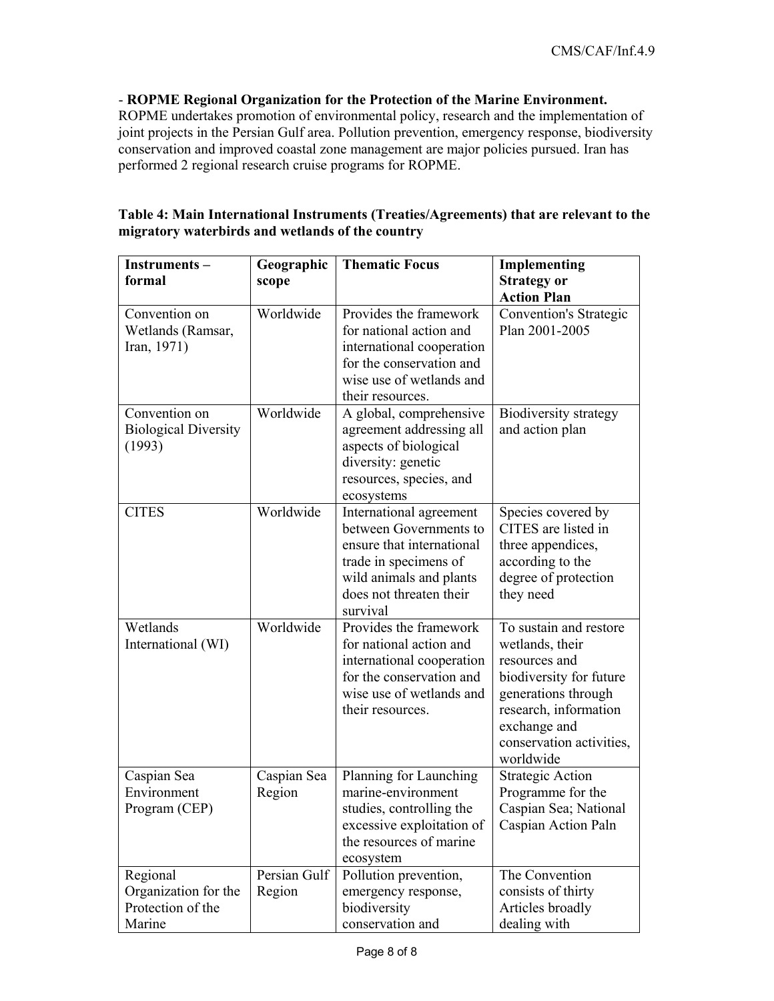### - **ROPME Regional Organization for the Protection of the Marine Environment.**

ROPME undertakes promotion of environmental policy, research and the implementation of joint projects in the Persian Gulf area. Pollution prevention, emergency response, biodiversity conservation and improved coastal zone management are major policies pursued. Iran has performed 2 regional research cruise programs for ROPME.

| Instruments-<br>formal                                          | Geographic<br>scope    | <b>Thematic Focus</b>                                                                                                                                                     | <b>Implementing</b><br><b>Strategy or</b><br><b>Action Plan</b>                                                                                                                                |
|-----------------------------------------------------------------|------------------------|---------------------------------------------------------------------------------------------------------------------------------------------------------------------------|------------------------------------------------------------------------------------------------------------------------------------------------------------------------------------------------|
| Convention on<br>Wetlands (Ramsar,<br>Iran, 1971)               | Worldwide              | Provides the framework<br>for national action and<br>international cooperation<br>for the conservation and<br>wise use of wetlands and<br>their resources.                | <b>Convention's Strategic</b><br>Plan 2001-2005                                                                                                                                                |
| Convention on<br><b>Biological Diversity</b><br>(1993)          | Worldwide              | A global, comprehensive<br>agreement addressing all<br>aspects of biological<br>diversity: genetic<br>resources, species, and<br>ecosystems                               | Biodiversity strategy<br>and action plan                                                                                                                                                       |
| <b>CITES</b>                                                    | Worldwide              | International agreement<br>between Governments to<br>ensure that international<br>trade in specimens of<br>wild animals and plants<br>does not threaten their<br>survival | Species covered by<br>CITES are listed in<br>three appendices,<br>according to the<br>degree of protection<br>they need                                                                        |
| Wetlands<br>International (WI)                                  | Worldwide              | Provides the framework<br>for national action and<br>international cooperation<br>for the conservation and<br>wise use of wetlands and<br>their resources.                | To sustain and restore<br>wetlands, their<br>resources and<br>biodiversity for future<br>generations through<br>research, information<br>exchange and<br>conservation activities,<br>worldwide |
| Caspian Sea<br>Environment<br>Program (CEP)                     | Caspian Sea<br>Region  | Planning for Launching<br>marine-environment<br>studies, controlling the<br>excessive exploitation of<br>the resources of marine<br>ecosystem                             | <b>Strategic Action</b><br>Programme for the<br>Caspian Sea; National<br>Caspian Action Paln                                                                                                   |
| Regional<br>Organization for the<br>Protection of the<br>Marine | Persian Gulf<br>Region | Pollution prevention,<br>emergency response,<br>biodiversity<br>conservation and                                                                                          | The Convention<br>consists of thirty<br>Articles broadly<br>dealing with                                                                                                                       |

### **Table 4: Main International Instruments (Treaties/Agreements) that are relevant to the migratory waterbirds and wetlands of the country**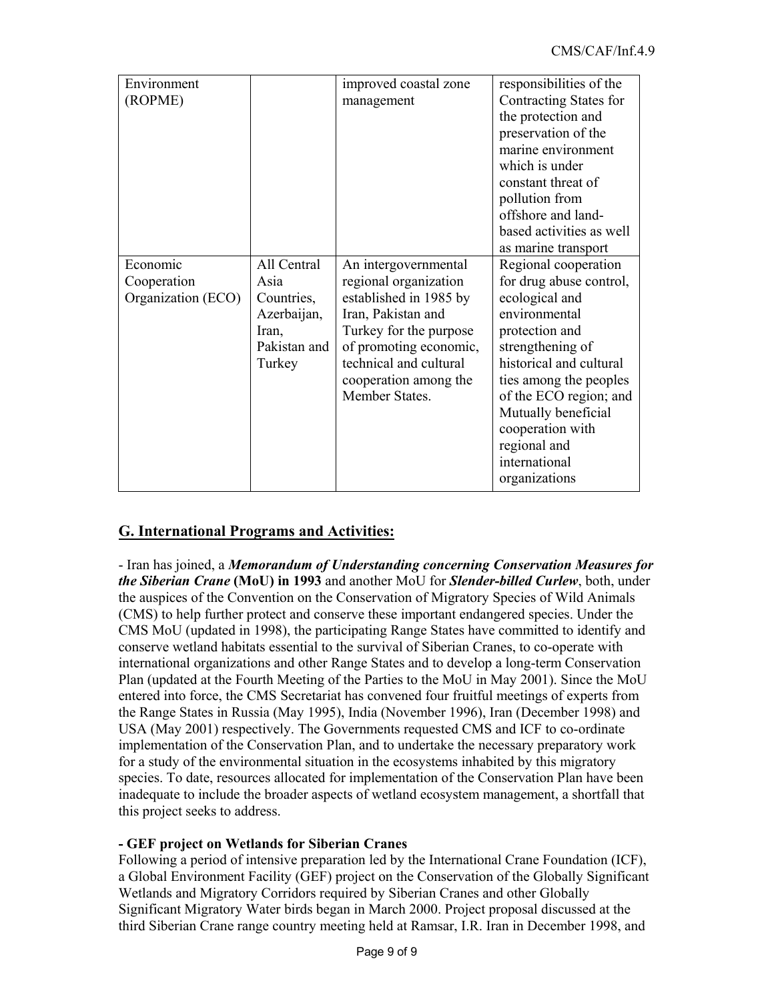| Environment        |              | improved coastal zone  | responsibilities of the  |
|--------------------|--------------|------------------------|--------------------------|
| (ROPME)            |              | management             | Contracting States for   |
|                    |              |                        | the protection and       |
|                    |              |                        | preservation of the      |
|                    |              |                        | marine environment       |
|                    |              |                        | which is under           |
|                    |              |                        | constant threat of       |
|                    |              |                        | pollution from           |
|                    |              |                        | offshore and land-       |
|                    |              |                        | based activities as well |
|                    |              |                        | as marine transport      |
| Economic           | All Central  | An intergovernmental   | Regional cooperation     |
| Cooperation        | Asia         | regional organization  | for drug abuse control,  |
| Organization (ECO) | Countries,   | established in 1985 by | ecological and           |
|                    | Azerbaijan,  | Iran, Pakistan and     | environmental            |
|                    | Iran,        | Turkey for the purpose | protection and           |
|                    | Pakistan and | of promoting economic, | strengthening of         |
|                    | Turkey       | technical and cultural | historical and cultural  |
|                    |              | cooperation among the  | ties among the peoples   |
|                    |              | Member States.         | of the ECO region; and   |
|                    |              |                        | Mutually beneficial      |
|                    |              |                        | cooperation with         |
|                    |              |                        | regional and             |
|                    |              |                        | international            |
|                    |              |                        | organizations            |
|                    |              |                        |                          |

# **G. International Programs and Activities:**

- Iran has joined, a *Memorandum of Understanding concerning Conservation Measures for the Siberian Crane* **(MoU) in 1993** and another MoU for *Slender-billed Curlew*, both, under the auspices of the Convention on the Conservation of Migratory Species of Wild Animals (CMS) to help further protect and conserve these important endangered species. Under the CMS MoU (updated in 1998), the participating Range States have committed to identify and conserve wetland habitats essential to the survival of Siberian Cranes, to co-operate with international organizations and other Range States and to develop a long-term Conservation Plan (updated at the Fourth Meeting of the Parties to the MoU in May 2001). Since the MoU entered into force, the CMS Secretariat has convened four fruitful meetings of experts from the Range States in Russia (May 1995), India (November 1996), Iran (December 1998) and USA (May 2001) respectively. The Governments requested CMS and ICF to co-ordinate implementation of the Conservation Plan, and to undertake the necessary preparatory work for a study of the environmental situation in the ecosystems inhabited by this migratory species. To date, resources allocated for implementation of the Conservation Plan have been inadequate to include the broader aspects of wetland ecosystem management, a shortfall that this project seeks to address.

### **- GEF project on Wetlands for Siberian Cranes**

Following a period of intensive preparation led by the International Crane Foundation (ICF), a Global Environment Facility (GEF) project on the Conservation of the Globally Significant Wetlands and Migratory Corridors required by Siberian Cranes and other Globally Significant Migratory Water birds began in March 2000. Project proposal discussed at the third Siberian Crane range country meeting held at Ramsar, I.R. Iran in December 1998, and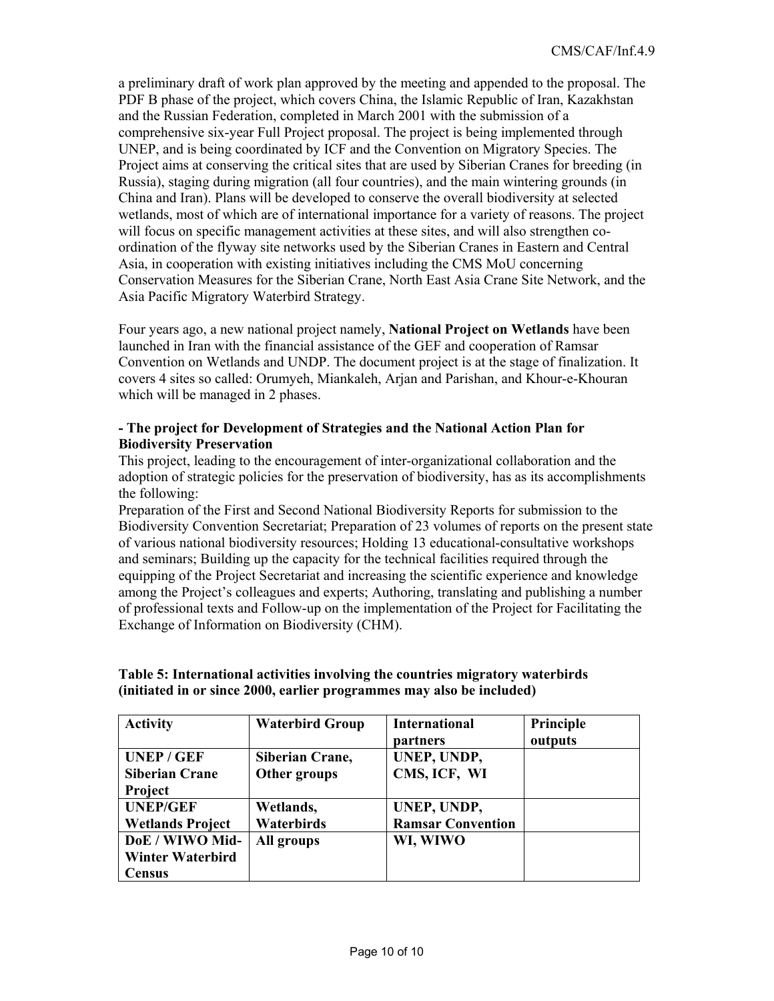a preliminary draft of work plan approved by the meeting and appended to the proposal. The PDF B phase of the project, which covers China, the Islamic Republic of Iran, Kazakhstan and the Russian Federation, completed in March 2001 with the submission of a comprehensive six-year Full Project proposal. The project is being implemented through UNEP, and is being coordinated by ICF and the Convention on Migratory Species. The Project aims at conserving the critical sites that are used by Siberian Cranes for breeding (in Russia), staging during migration (all four countries), and the main wintering grounds (in China and Iran). Plans will be developed to conserve the overall biodiversity at selected wetlands, most of which are of international importance for a variety of reasons. The project will focus on specific management activities at these sites, and will also strengthen coordination of the flyway site networks used by the Siberian Cranes in Eastern and Central Asia, in cooperation with existing initiatives including the CMS MoU concerning Conservation Measures for the Siberian Crane, North East Asia Crane Site Network, and the Asia Pacific Migratory Waterbird Strategy.

Four years ago, a new national project namely, **National Project on Wetlands** have been launched in Iran with the financial assistance of the GEF and cooperation of Ramsar Convention on Wetlands and UNDP. The document project is at the stage of finalization. It covers 4 sites so called: Orumyeh, Miankaleh, Arjan and Parishan, and Khour-e-Khouran which will be managed in 2 phases.

### **- The project for Development of Strategies and the National Action Plan for Biodiversity Preservation**

This project, leading to the encouragement of inter-organizational collaboration and the adoption of strategic policies for the preservation of biodiversity, has as its accomplishments the following:

Preparation of the First and Second National Biodiversity Reports for submission to the Biodiversity Convention Secretariat; Preparation of 23 volumes of reports on the present state of various national biodiversity resources; Holding 13 educational-consultative workshops and seminars; Building up the capacity for the technical facilities required through the equipping of the Project Secretariat and increasing the scientific experience and knowledge among the Project's colleagues and experts; Authoring, translating and publishing a number of professional texts and Follow-up on the implementation of the Project for Facilitating the Exchange of Information on Biodiversity (CHM).

| <b>Activity</b>         | <b>Waterbird Group</b> | <b>International</b>     | Principle |
|-------------------------|------------------------|--------------------------|-----------|
|                         |                        | partners                 | outputs   |
| <b>UNEP/GEF</b>         | Siberian Crane,        | UNEP, UNDP,              |           |
| <b>Siberian Crane</b>   | Other groups           | CMS, ICF, WI             |           |
| <b>Project</b>          |                        |                          |           |
| <b>UNEP/GEF</b>         | Wetlands,              | UNEP, UNDP,              |           |
| <b>Wetlands Project</b> | Waterbirds             | <b>Ramsar Convention</b> |           |
| DoE / WIWO Mid-         | All groups             | WI, WIWO                 |           |
| <b>Winter Waterbird</b> |                        |                          |           |
| Census                  |                        |                          |           |

### **Table 5: International activities involving the countries migratory waterbirds (initiated in or since 2000, earlier programmes may also be included)**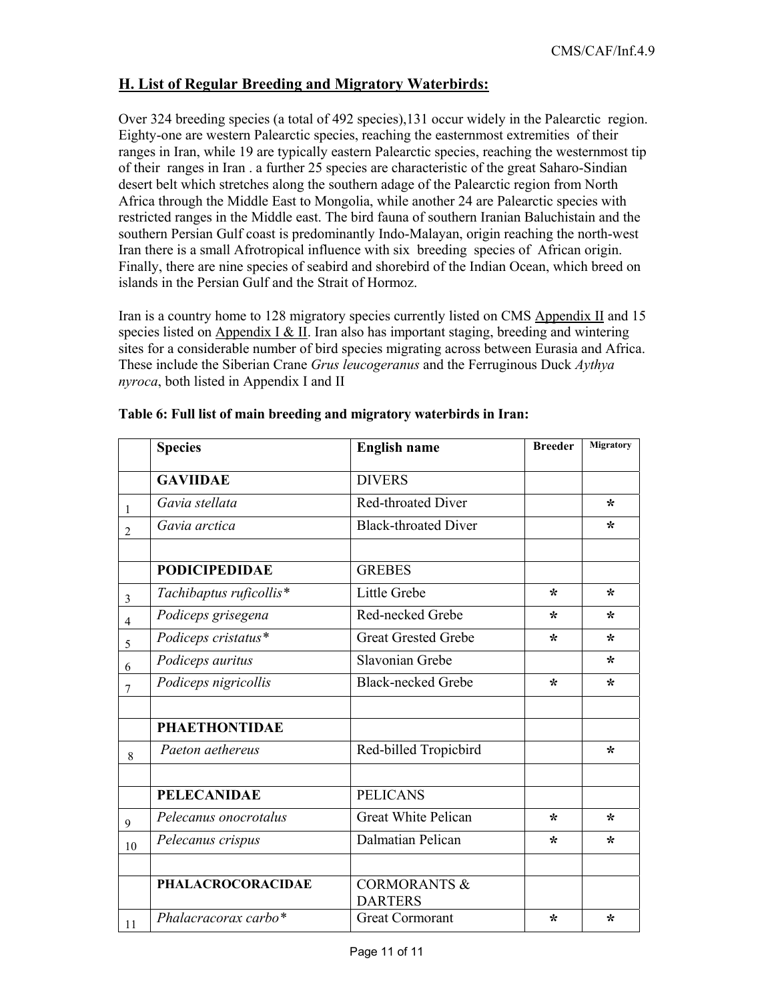### **H. List of Regular Breeding and Migratory Waterbirds:**

Over 324 breeding species (a total of 492 species),131 occur widely in the Palearctic region. Eighty-one are western Palearctic species, reaching the easternmost extremities of their ranges in Iran, while 19 are typically eastern Palearctic species, reaching the westernmost tip of their ranges in Iran . a further 25 species are characteristic of the great Saharo-Sindian desert belt which stretches along the southern adage of the Palearctic region from North Africa through the Middle East to Mongolia, while another 24 are Palearctic species with restricted ranges in the Middle east. The bird fauna of southern Iranian Baluchistain and the southern Persian Gulf coast is predominantly Indo-Malayan, origin reaching the north-west Iran there is a small Afrotropical influence with six breeding species of African origin. Finally, there are nine species of seabird and shorebird of the Indian Ocean, which breed on islands in the Persian Gulf and the Strait of Hormoz.

Iran is a country home to 128 migratory species currently listed on CMS Appendix II and 15 species listed on Appendix I  $\&$  II. Iran also has important staging, breeding and wintering sites for a considerable number of bird species migrating across between Eurasia and Africa. These include the Siberian Crane *Grus leucogeranus* and the Ferruginous Duck *Aythya nyroca*, both listed in Appendix I and II

|                | <b>Species</b>           | <b>English name</b>                       | <b>Breeder</b> | Migratory |
|----------------|--------------------------|-------------------------------------------|----------------|-----------|
|                | <b>GAVIIDAE</b>          | <b>DIVERS</b>                             |                |           |
| 1              | Gavia stellata           | <b>Red-throated Diver</b>                 |                | ∗         |
| 2              | Gavia arctica            | <b>Black-throated Diver</b>               |                | ∗         |
|                |                          |                                           |                |           |
|                | <b>PODICIPEDIDAE</b>     | <b>GREBES</b>                             |                |           |
| $\overline{3}$ | Tachibaptus ruficollis*  | Little Grebe                              | ∗              | ∗         |
| $\overline{4}$ | Podiceps grisegena       | Red-necked Grebe                          | ∗              | ∗         |
| 5              | Podiceps cristatus*      | <b>Great Grested Grebe</b>                | ∗              | $\star$   |
| 6              | Podiceps auritus         | Slavonian Grebe                           |                | ∗         |
| 7              | Podiceps nigricollis     | <b>Black-necked Grebe</b>                 | ∗              | ∗         |
|                |                          |                                           |                |           |
|                | <b>PHAETHONTIDAE</b>     |                                           |                |           |
| 8              | Paeton aethereus         | Red-billed Tropicbird                     |                | ∗         |
|                |                          |                                           |                |           |
|                | <b>PELECANIDAE</b>       | <b>PELICANS</b>                           |                |           |
| $\mathbf{9}$   | Pelecanus onocrotalus    | <b>Great White Pelican</b>                | ∗              | ∗         |
| 10             | Pelecanus crispus        | Dalmatian Pelican                         | ∗              | ∗         |
|                |                          |                                           |                |           |
|                | <b>PHALACROCORACIDAE</b> | <b>CORMORANTS &amp;</b><br><b>DARTERS</b> |                |           |
| 11             | Phalacracorax carbo*     | <b>Great Cormorant</b>                    | ∗              | ∗         |

#### **Table 6: Full list of main breeding and migratory waterbirds in Iran:**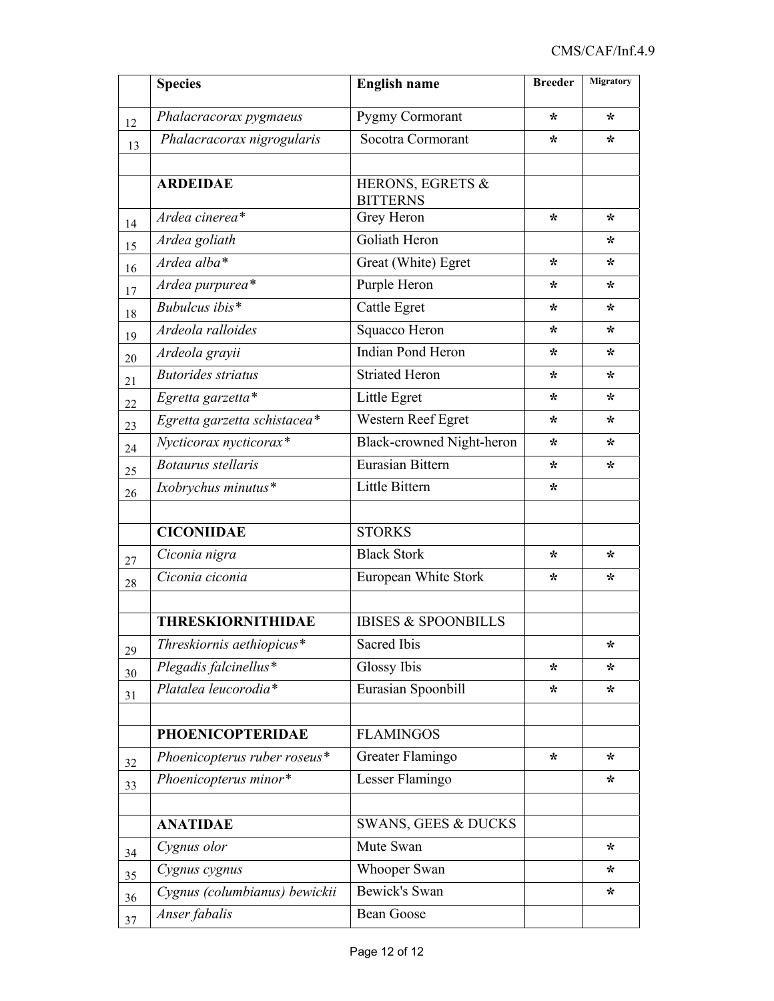|    | <b>Species</b>                | <b>English name</b>                 | <b>Breeder</b> | <b>Migratory</b> |
|----|-------------------------------|-------------------------------------|----------------|------------------|
| 12 | Phalacracorax pygmaeus        | Pygmy Cormorant                     | ∗              | $\star$          |
| 13 | Phalacracorax nigrogularis    | Socotra Cormorant                   | ∗              | ∗                |
|    |                               |                                     |                |                  |
|    | <b>ARDEIDAE</b>               | HERONS, EGRETS &<br><b>BITTERNS</b> |                |                  |
| 14 | Ardea cinerea*                | Grey Heron                          | ∗              | ∗                |
| 15 | Ardea goliath                 | Goliath Heron                       |                | ÷                |
| 16 | Ardea alba*                   | Great (White) Egret                 | ∗              | ÷                |
| 17 | Ardea purpurea*               | Purple Heron                        | ∗              | ∗                |
| 18 | Bubulcus ibis $*$             | Cattle Egret                        | ∗              | ÷                |
| 19 | Ardeola ralloides             | Squacco Heron                       | ∗              | ∗                |
| 20 | Ardeola grayii                | <b>Indian Pond Heron</b>            | ∗              | ∗                |
| 21 | <b>Butorides striatus</b>     | <b>Striated Heron</b>               | $\star$        | ∗                |
| 22 | Egretta garzetta*             | Little Egret                        | ∗              | ∗                |
| 23 | Egretta garzetta schistacea*  | Western Reef Egret                  | ∗              | ∗                |
| 24 | Nycticorax nycticorax*        | Black-crowned Night-heron           | ∗              | ∗                |
| 25 | <b>Botaurus</b> stellaris     | Eurasian Bittern                    | ∗              | ∗                |
| 26 | Ixobrychus minutus*           | Little Bittern                      | ∗              |                  |
|    |                               |                                     |                |                  |
|    | <b>CICONIIDAE</b>             | <b>STORKS</b>                       |                |                  |
| 27 | Ciconia nigra                 | <b>Black Stork</b>                  | ∗              | ∗                |
| 28 | Ciconia ciconia               | European White Stork                | ∗              | ∗                |
|    |                               |                                     |                |                  |
|    | <b>THRESKIORNITHIDAE</b>      | <b>IBISES &amp; SPOONBILLS</b>      |                |                  |
| 29 | Threskiornis aethiopicus*     | <b>Sacred Ibis</b>                  |                | *                |
| 30 | Plegadis falcinellus*         | Glossy Ibis                         | $\star$        | ∗                |
| 31 | Platalea leucorodia*          | Eurasian Spoonbill                  | ∗              | ∗                |
|    |                               |                                     |                |                  |
|    | <b>PHOENICOPTERIDAE</b>       | <b>FLAMINGOS</b>                    |                |                  |
| 32 | Phoenicopterus ruber roseus*  | Greater Flamingo                    | $\ast$         | $\star$          |
| 33 | Phoenicopterus minor*         | Lesser Flamingo                     |                | ∗                |
|    |                               |                                     |                |                  |
|    | <b>ANATIDAE</b>               | <b>SWANS, GEES &amp; DUCKS</b>      |                |                  |
| 34 | Cygnus olor                   | Mute Swan                           |                | ∗                |
| 35 | Cygnus cygnus                 | Whooper Swan                        |                | ∗                |
| 36 | Cygnus (columbianus) bewickii | Bewick's Swan                       |                | ∗                |
| 37 | Anser fabalis                 | <b>Bean Goose</b>                   |                |                  |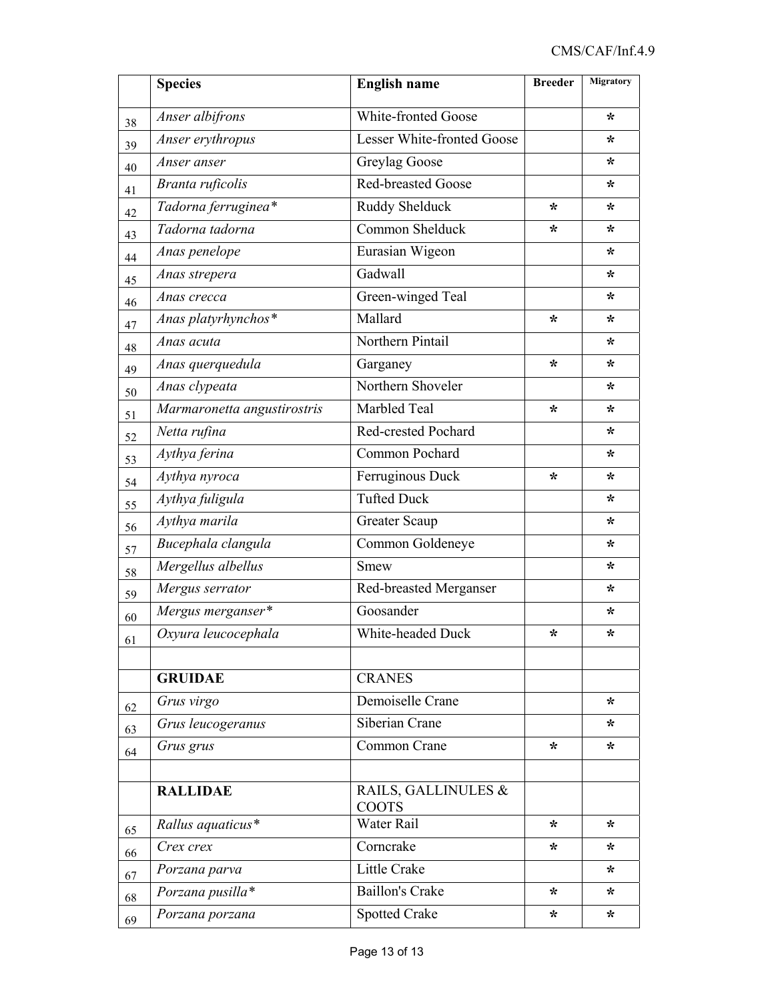|        | <b>Species</b>              | <b>English name</b>          | <b>Breeder</b> | Migratory |
|--------|-----------------------------|------------------------------|----------------|-----------|
| 38     | Anser albifrons             | White-fronted Goose          |                | ∗         |
| 39     | Anser erythropus            | Lesser White-fronted Goose   |                | ∗         |
| 40     | Anser anser                 | Greylag Goose                |                | *         |
| 41     | Branta ruficolis            | <b>Red-breasted Goose</b>    |                | ∗         |
| 42     | Tadorna ferruginea*         | Ruddy Shelduck               | $\star$        | ∗         |
| 43     | Tadorna tadorna             | Common Shelduck              | ∗              | ∗         |
| 44     | Anas penelope               | Eurasian Wigeon              |                | ∗         |
| 45     | Anas strepera               | Gadwall                      |                | ∗         |
| 46     | Anas crecca                 | Green-winged Teal            |                | ∗         |
| 47     | Anas platyrhynchos*         | Mallard                      | ∗              | *         |
| 48     | Anas acuta                  | Northern Pintail             |                | *         |
| 49     | Anas querquedula            | Garganey                     | ∗              | ∗         |
| $50\,$ | Anas clypeata               | Northern Shoveler            |                | *         |
| 51     | Marmaronetta angustirostris | Marbled Teal                 | ∗              | *         |
| 52     | Netta rufina                | Red-crested Pochard          |                | *         |
| 53     | Aythya ferina               | Common Pochard               |                | *         |
| 54     | Aythya nyroca               | Ferruginous Duck             | ∗              | *         |
| 55     | Aythya fuligula             | <b>Tufted Duck</b>           |                | *         |
| 56     | Aythya marila               | <b>Greater Scaup</b>         |                | *         |
| 57     | Bucephala clangula          | Common Goldeneye             |                | *         |
| 58     | Mergellus albellus          | <b>Smew</b>                  |                | *         |
| 59     | Mergus serrator             | Red-breasted Merganser       |                | *         |
| 60     | Mergus merganser*           | Goosander                    |                | *         |
| 61     | Oxyura leucocephala         | White-headed Duck            | *              | *         |
|        |                             |                              |                |           |
|        | <b>GRUIDAE</b>              | <b>CRANES</b>                |                |           |
| 62     | Grus virgo                  | Demoiselle Crane             |                | $\star$   |
| 63     | Grus leucogeranus           | Siberian Crane               |                | *         |
| 64     | Grus grus                   | Common Crane                 | $\star$        | ∗         |
|        |                             |                              |                |           |
|        | <b>RALLIDAE</b>             | RAILS, GALLINULES &<br>COOTS |                |           |
| 65     | Rallus aquaticus*           | Water Rail                   | *              | *         |
| 66     | Crex crex                   | Corncrake                    | ∗              | *         |
| 67     | Porzana parva               | Little Crake                 |                | *         |
| 68     | Porzana pusilla*            | <b>Baillon's Crake</b>       | $\star$        | ∗         |
| 69     | Porzana porzana             | <b>Spotted Crake</b>         | *              | ∗         |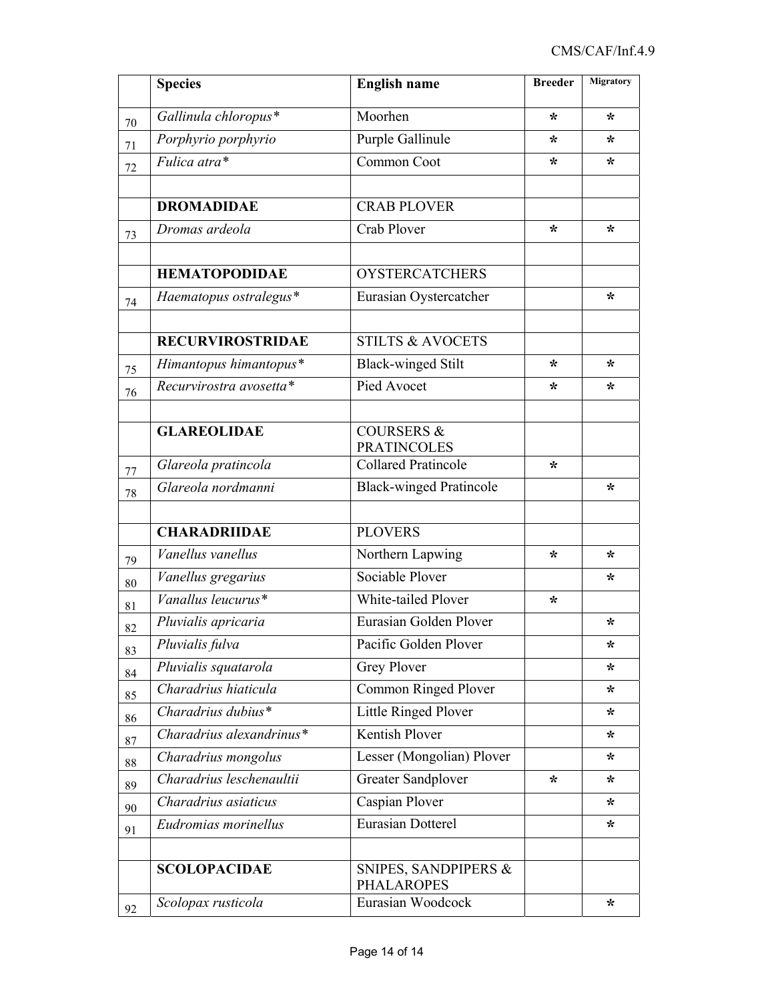|        | <b>Species</b>           | <b>English name</b>                         | <b>Breeder</b> | Migratory |
|--------|--------------------------|---------------------------------------------|----------------|-----------|
| 70     | Gallinula chloropus*     | Moorhen                                     | ∗              | ∗         |
| 71     | Porphyrio porphyrio      | Purple Gallinule                            | ∗              | ∗         |
| 72     | Fulica atra*             | Common Coot                                 | ∗              | ∗         |
|        |                          |                                             |                |           |
|        | <b>DROMADIDAE</b>        | <b>CRAB PLOVER</b>                          |                |           |
| 73     | Dromas ardeola           | Crab Plover                                 | ∗              | $\star$   |
|        | <b>HEMATOPODIDAE</b>     | <b>OYSTERCATCHERS</b>                       |                |           |
|        | Haematopus ostralegus*   | Eurasian Oystercatcher                      |                | ∗         |
| 74     |                          |                                             |                |           |
|        | <b>RECURVIROSTRIDAE</b>  | <b>STILTS &amp; AVOCETS</b>                 |                |           |
| 75     | Himantopus himantopus*   | <b>Black-winged Stilt</b>                   | ∗              | $\star$   |
| 76     | Recurvirostra avosetta*  | Pied Avocet                                 | ∗              | *         |
|        |                          |                                             |                |           |
|        | <b>GLAREOLIDAE</b>       | <b>COURSERS &amp;</b><br><b>PRATINCOLES</b> |                |           |
| 77     | Glareola pratincola      | <b>Collared Pratincole</b>                  | $\star$        |           |
| 78     | Glareola nordmanni       | <b>Black-winged Pratincole</b>              |                | ∗         |
|        |                          |                                             |                |           |
|        | <b>CHARADRIIDAE</b>      | <b>PLOVERS</b>                              |                |           |
| 79     | Vanellus vanellus        | Northern Lapwing                            | ∗              | ∗         |
| 80     | Vanellus gregarius       | Sociable Plover                             |                | ∗         |
| 81     | Vanallus leucurus*       | White-tailed Plover                         | ∗              |           |
| 82     | Pluvialis apricaria      | Eurasian Golden Plover                      |                | ∗         |
| 83     | Pluvialis fulva          | Pacific Golden Plover                       |                | *         |
| 84     | Pluvialis squatarola     | Grey Plover                                 |                | *         |
| 85     | Charadrius hiaticula     | Common Ringed Plover                        |                | ∗         |
| 86     | Charadrius dubius*       | Little Ringed Plover                        |                | *         |
| 87     | Charadrius alexandrinus* | Kentish Plover                              |                | *         |
| $88\,$ | Charadrius mongolus      | Lesser (Mongolian) Plover                   |                | *         |
| 89     | Charadrius leschenaultii | Greater Sandplover                          | ∗              | *         |
| 90     | Charadrius asiaticus     | Caspian Plover                              |                | *         |
| 91     | Eudromias morinellus     | <b>Eurasian Dotterel</b>                    |                | *         |
|        |                          |                                             |                |           |
|        | <b>SCOLOPACIDAE</b>      | SNIPES, SANDPIPERS &<br><b>PHALAROPES</b>   |                |           |
| 92     | Scolopax rusticola       | Eurasian Woodcock                           |                | *         |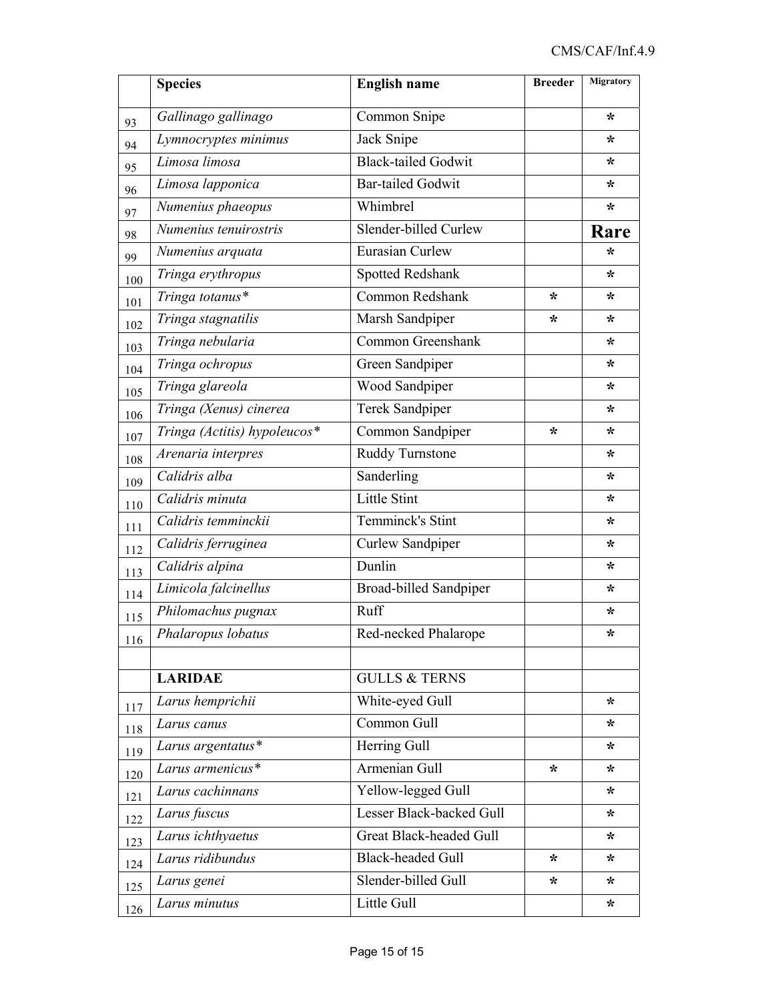|     | <b>Species</b>               | <b>English name</b>            | <b>Breeder</b> | Migratory |
|-----|------------------------------|--------------------------------|----------------|-----------|
| 93  | Gallinago gallinago          | Common Snipe                   |                | $\star$   |
| 94  | Lymnocryptes minimus         | Jack Snipe                     |                | *         |
| 95  | Limosa limosa                | <b>Black-tailed Godwit</b>     |                | ∗         |
| 96  | Limosa lapponica             | <b>Bar-tailed Godwit</b>       |                | ∗         |
| 97  | Numenius phaeopus            | Whimbrel                       |                | *         |
| 98  | Numenius tenuirostris        | Slender-billed Curlew          |                | Rare      |
| 99  | Numenius arquata             | Eurasian Curlew                |                | ÷         |
| 100 | Tringa erythropus            | Spotted Redshank               |                | *         |
| 101 | Tringa totanus*              | Common Redshank                | ∗              | ∗         |
| 102 | Tringa stagnatilis           | Marsh Sandpiper                | ∗              | ∗         |
| 103 | Tringa nebularia             | Common Greenshank              |                | ∗         |
| 104 | Tringa ochropus              | Green Sandpiper                |                | *         |
| 105 | Tringa glareola              | Wood Sandpiper                 |                | ∗         |
| 106 | Tringa (Xenus) cinerea       | Terek Sandpiper                |                | ∗         |
| 107 | Tringa (Actitis) hypoleucos* | Common Sandpiper               | *              | ∗         |
| 108 | Arenaria interpres           | Ruddy Turnstone                |                | *         |
| 109 | Calidris alba                | Sanderling                     |                | *         |
| 110 | Calidris minuta              | Little Stint                   |                | *         |
| 111 | Calidris temminckii          | Temminck's Stint               |                | *         |
| 112 | Calidris ferruginea          | Curlew Sandpiper               |                | *         |
| 113 | Calidris alpina              | Dunlin                         |                | *         |
| 114 | Limicola falcinellus         | Broad-billed Sandpiper         |                | *         |
| 115 | Philomachus pugnax           | Ruff                           |                | *         |
| 116 | Phalaropus lobatus           | Red-necked Phalarope           |                | ∗         |
|     |                              |                                |                |           |
|     | <b>LARIDAE</b>               | <b>GULLS &amp; TERNS</b>       |                |           |
| 117 | Larus hemprichii             | White-eyed Gull                |                | $\star$   |
| 118 | Larus canus                  | Common Gull                    |                | ∗         |
| 119 | Larus argentatus*            | Herring Gull                   |                | *         |
| 120 | Larus armenicus*             | Armenian Gull                  | $\ast$         | *         |
| 121 | Larus cachinnans             | Yellow-legged Gull             |                | $\star$   |
| 122 | Larus fuscus                 | Lesser Black-backed Gull       |                | *         |
| 123 | Larus ichthyaetus            | <b>Great Black-headed Gull</b> |                | *         |
| 124 | Larus ridibundus             | <b>Black-headed Gull</b>       | $\star$        | *         |
| 125 | Larus genei                  | Slender-billed Gull            | *              | *         |
| 126 | Larus minutus                | Little Gull                    |                | *.        |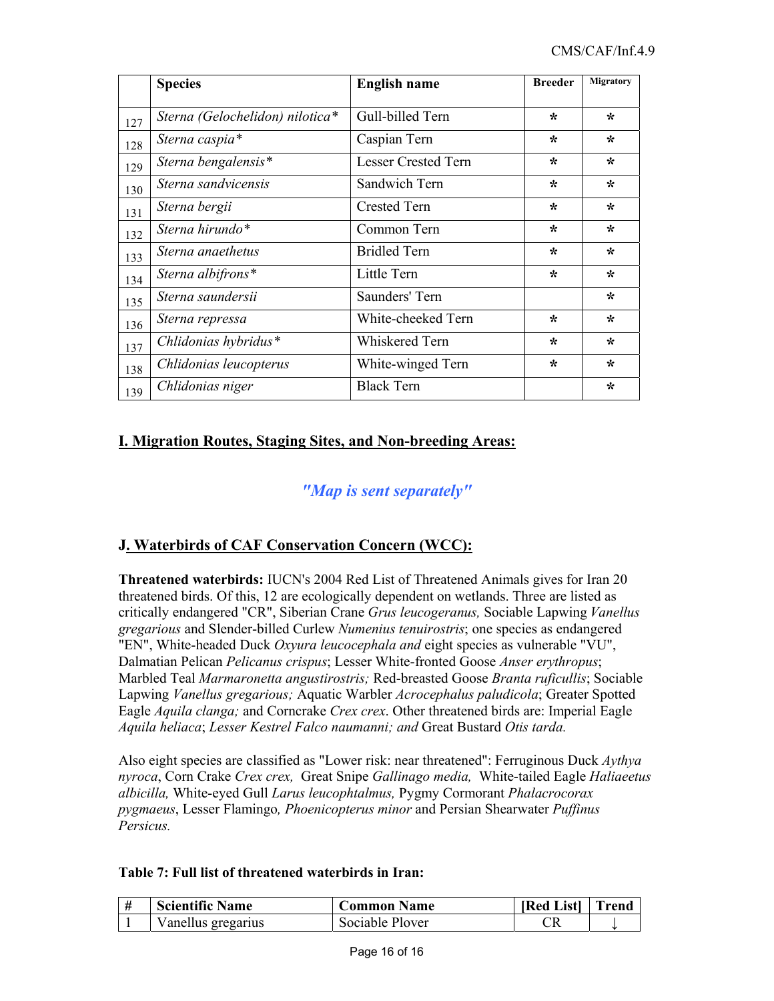|     | <b>Species</b>                  | <b>English name</b>        | <b>Breeder</b> | Migratory |
|-----|---------------------------------|----------------------------|----------------|-----------|
| 127 | Sterna (Gelochelidon) nilotica* | Gull-billed Tern           | ∗              | $\star$   |
| 128 | Sterna caspia*                  | Caspian Tern               | $\star$        | ∗         |
| 129 | Sterna bengalensis*             | <b>Lesser Crested Tern</b> | ∗              | ∗         |
| 130 | Sterna sandvicensis             | Sandwich Tern              | $\star$        | $\star$   |
| 131 | Sterna bergii                   | <b>Crested Tern</b>        | $\star$        | $\star$   |
| 132 | Sterna hirundo*                 | Common Tern                | $\star$        | ∗         |
| 133 | Sterna anaethetus               | <b>Bridled Tern</b>        | ∗              | ∗         |
| 134 | Sterna albifrons*               | Little Tern                | $\star$        | $\star$   |
| 135 | Sterna saundersii               | Saunders' Tern             |                | $\star$   |
| 136 | Sterna repressa                 | White-cheeked Tern         | $\star$        | $\star$   |
| 137 | Chlidonias hybridus*            | Whiskered Tern             | $\star$        | $\star$   |
| 138 | Chlidonias leucopterus          | White-winged Tern          | $\star$        | $\star$   |
| 139 | Chlidonias niger                | <b>Black Tern</b>          |                | $\star$   |

# **I. Migration Routes, Staging Sites, and Non-breeding Areas:**

# *"Map is sent separately"*

### **J. Waterbirds of CAF Conservation Concern (WCC):**

**Threatened waterbirds:** IUCN's 2004 Red List of Threatened Animals gives for Iran 20 threatened birds. Of this, 12 are ecologically dependent on wetlands. Three are listed as critically endangered "CR", Siberian Crane *Grus leucogeranus,* Sociable Lapwing *Vanellus gregarious* and Slender-billed Curlew *Numenius tenuirostris*; one species as endangered "EN", White-headed Duck *Oxyura leucocephala and* eight species as vulnerable "VU", Dalmatian Pelican *Pelicanus crispus*; Lesser White-fronted Goose *Anser erythropus*; Marbled Teal *Marmaronetta angustirostris;* Red-breasted Goose *Branta ruficullis*; Sociable Lapwing *Vanellus gregarious;* Aquatic Warbler *Acrocephalus paludicola*; Greater Spotted Eagle *Aquila clanga;* and Corncrake *Crex crex*. Other threatened birds are: Imperial Eagle *Aquila heliaca*; *Lesser Kestrel Falco naumanni; and* Great Bustard *Otis tarda.*

Also eight species are classified as "Lower risk: near threatened": Ferruginous Duck *Aythya nyroca*, Corn Crake *Crex crex,* Great Snipe *Gallinago media,* White-tailed Eagle *Haliaeetus albicilla,* White-eyed Gull *Larus leucophtalmus,* Pygmy Cormorant *Phalacrocorax pygmaeus*, Lesser Flamingo*, Phoenicopterus minor* and Persian Shearwater *Puffinus Persicus.* 

### **Table 7: Full list of threatened waterbirds in Iran:**

| <b>Scientific Name</b> | <b>Common Name</b> | [Red List] | Frend |
|------------------------|--------------------|------------|-------|
| Vanellus gregarius     | Sociable Plover    |            |       |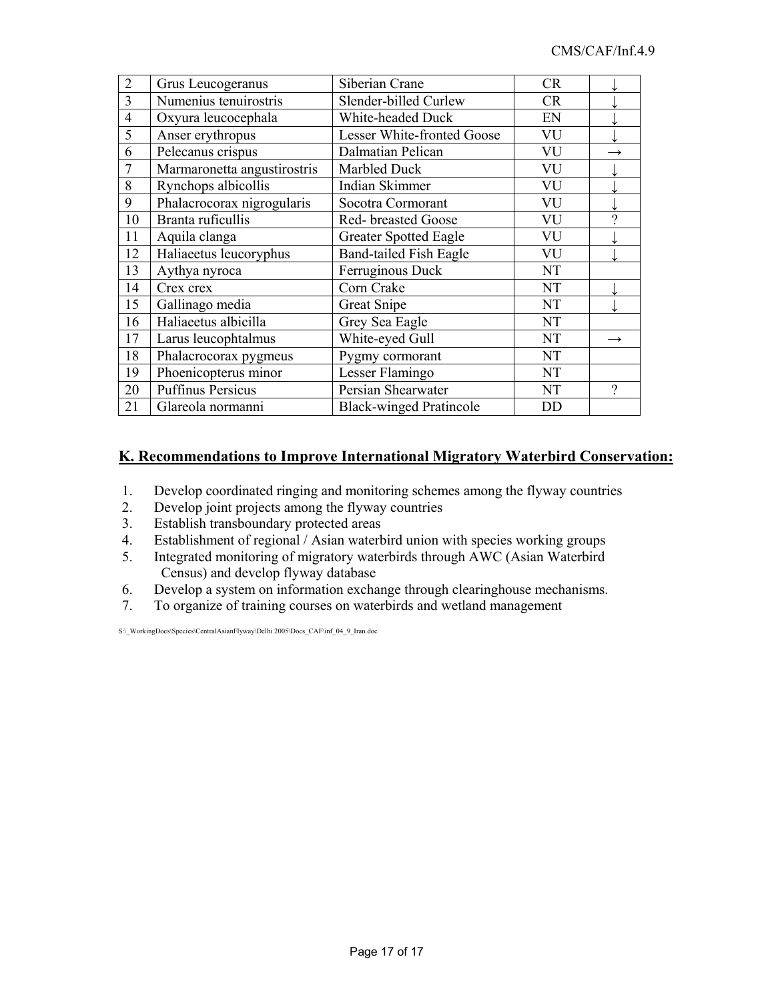| $\overline{2}$ | Grus Leucogeranus           | Siberian Crane                 | <b>CR</b> |               |
|----------------|-----------------------------|--------------------------------|-----------|---------------|
| 3              | Numenius tenuirostris       | Slender-billed Curlew          | <b>CR</b> |               |
| $\overline{4}$ | Oxyura leucocephala         | White-headed Duck              | EN        |               |
| 5              | Anser erythropus            | Lesser White-fronted Goose     | VU        |               |
| 6              | Pelecanus crispus           | Dalmatian Pelican              | VU        |               |
| 7              | Marmaronetta angustirostris | Marbled Duck                   | VU        |               |
| 8              | Rynchops albicollis         | Indian Skimmer                 | VU        |               |
| 9              | Phalacrocorax nigrogularis  | Socotra Cormorant              | VU        |               |
| 10             | Branta ruficullis           | Red- breasted Goose            | VU        | 9             |
| 11             | Aquila clanga               | <b>Greater Spotted Eagle</b>   | VU        |               |
| 12             | Haliaeetus leucoryphus      | <b>Band-tailed Fish Eagle</b>  | VU        |               |
| 13             | Aythya nyroca               | Ferruginous Duck               | NT        |               |
| 14             | Crex crex                   | Corn Crake                     | <b>NT</b> |               |
| 15             | Gallinago media             | <b>Great Snipe</b>             | NT        |               |
| 16             | Haliaeetus albicilla        | Grey Sea Eagle                 | <b>NT</b> |               |
| 17             | Larus leucophtalmus         | White-eyed Gull                | <b>NT</b> | $\rightarrow$ |
| 18             | Phalacrocorax pygmeus       | Pygmy cormorant                | NT        |               |
| 19             | Phoenicopterus minor        | Lesser Flamingo                | NT        |               |
| 20             | <b>Puffinus Persicus</b>    | Persian Shearwater             | NT        | 9             |
| 21             | Glareola normanni           | <b>Black-winged Pratincole</b> | DD        |               |

### **K. Recommendations to Improve International Migratory Waterbird Conservation:**

- 1. Develop coordinated ringing and monitoring schemes among the flyway countries
- 2. Develop joint projects among the flyway countries<br>3. Establish transboundary protected areas
- Establish transboundary protected areas
- 4. Establishment of regional / Asian waterbird union with species working groups
- 5. Integrated monitoring of migratory waterbirds through AWC (Asian Waterbird Census) and develop flyway database
- 6. Develop a system on information exchange through clearinghouse mechanisms.
- 7. To organize of training courses on waterbirds and wetland management

S:\\_WorkingDocs\Species\CentralAsianFlyway\Delhi 2005\Docs\_CAF\inf\_04\_9\_Iran.doc